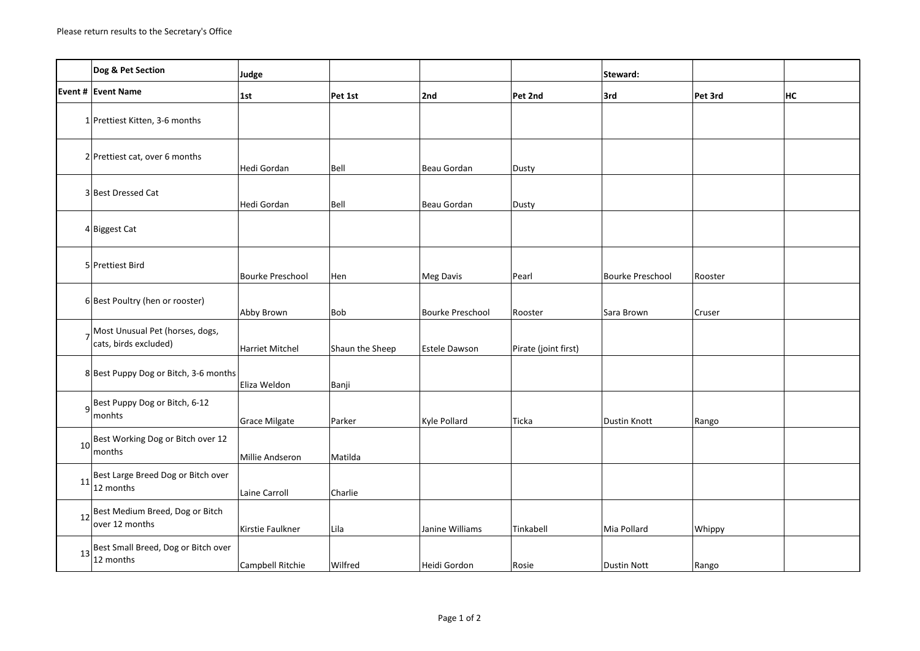|                 | Dog & Pet Section                                        | Judge                   |                 |                         |                      | Steward:                |         |    |
|-----------------|----------------------------------------------------------|-------------------------|-----------------|-------------------------|----------------------|-------------------------|---------|----|
|                 | Event # Event Name                                       | 1st                     | Pet 1st         | 2nd                     | Pet 2nd              | 3rd                     | Pet 3rd | НC |
|                 | 1 Prettiest Kitten, 3-6 months                           |                         |                 |                         |                      |                         |         |    |
|                 | 2 Prettiest cat, over 6 months                           | Hedi Gordan             | Bell            | Beau Gordan             | Dusty                |                         |         |    |
|                 | 3 Best Dressed Cat                                       | Hedi Gordan             | Bell            | Beau Gordan             | Dusty                |                         |         |    |
|                 | 4 Biggest Cat                                            |                         |                 |                         |                      |                         |         |    |
|                 | 5 Prettiest Bird                                         | <b>Bourke Preschool</b> | Hen             | Meg Davis               | Pearl                | <b>Bourke Preschool</b> | Rooster |    |
|                 | 6 Best Poultry (hen or rooster)                          | Abby Brown              | Bob             | <b>Bourke Preschool</b> | Rooster              | Sara Brown              | Cruser  |    |
|                 | Most Unusual Pet (horses, dogs,<br>cats, birds excluded) | <b>Harriet Mitchel</b>  | Shaun the Sheep | Estele Dawson           | Pirate (joint first) |                         |         |    |
|                 | 8 Best Puppy Dog or Bitch, 3-6 months                    | Eliza Weldon            | Banji           |                         |                      |                         |         |    |
|                 | 9Best Puppy Dog or Bitch, 6-12<br>monhts                 | <b>Grace Milgate</b>    | Parker          | Kyle Pollard            | Ticka                | Dustin Knott            | Rango   |    |
| 10 <sup>1</sup> | Best Working Dog or Bitch over 12<br>months              | Millie Andseron         | Matilda         |                         |                      |                         |         |    |
| 11              | Best Large Breed Dog or Bitch over<br>12 months          | Laine Carroll           | Charlie         |                         |                      |                         |         |    |
|                 | 12 Best Medium Breed, Dog or Bitch<br>over 12 months     | Kirstie Faulkner        | Lila            | Janine Williams         | Tinkabell            | Mia Pollard             | Whippy  |    |
| 13              | Best Small Breed, Dog or Bitch over<br>12 months         | Campbell Ritchie        | Wilfred         | Heidi Gordon            | Rosie                | <b>Dustin Nott</b>      | Rango   |    |